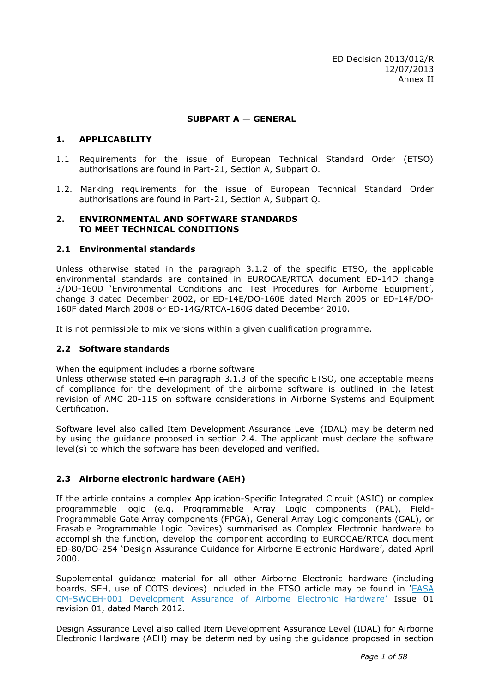## **SUBPART A — GENERAL**

### **1. APPLICABILITY**

- 1.1 Requirements for the issue of European Technical Standard Order (ETSO) authorisations are found in Part-21, Section A, Subpart O.
- 1.2. Marking requirements for the issue of European Technical Standard Order authorisations are found in Part-21, Section A, Subpart Q.

#### **2. ENVIRONMENTAL AND SOFTWARE STANDARDS TO MEET TECHNICAL CONDITIONS**

## **2.1 Environmental standards**

Unless otherwise stated in the paragraph 3.1.2 of the specific ETSO, the applicable environmental standards are contained in EUROCAE/RTCA document ED-14D change 3/DO-160D 'Environmental Conditions and Test Procedures for Airborne Equipment', change 3 dated December 2002, or ED-14E/DO-160E dated March 2005 or ED-14F/DO-160F dated March 2008 or ED-14G/RTCA-160G dated December 2010.

It is not permissible to mix versions within a given qualification programme.

### **2.2 Software standards**

When the equipment includes airborne software

Unless otherwise stated  $\theta$ -in paragraph 3.1.3 of the specific ETSO, one acceptable means of compliance for the development of the airborne software is outlined in the latest revision of AMC 20-115 on software considerations in Airborne Systems and Equipment Certification.

Software level also called Item Development Assurance Level (IDAL) may be determined by using the guidance proposed in section 2.4. The applicant must declare the software level(s) to which the software has been developed and verified.

# **2.3 Airborne electronic hardware (AEH)**

If the article contains a complex Application-Specific Integrated Circuit (ASIC) or complex programmable logic (e.g. Programmable Array Logic components (PAL), Field-Programmable Gate Array components (FPGA), General Array Logic components (GAL), or Erasable Programmable Logic Devices) summarised as Complex Electronic hardware to accomplish the function, develop the component according to EUROCAE/RTCA document ED-80/DO-254 'Design Assurance Guidance for Airborne Electronic Hardware', dated April 2000.

Supplemental guidance material for all other Airborne Electronic hardware (including boards, SEH, use of COTS devices) included in the ETSO article may be found in '[EASA](http://easa.europa.eu/certification/docs/certification-memorandum/EASA%20CM-SWCEH-001%20Issue%2001%20Rev%2001%20Development%20Assurance%20of%20Airborne%20Electronic%20Hardware.pdf)  [CM-SWCEH-001 Development Assurance of Airborne Electronic Hardware](http://easa.europa.eu/certification/docs/certification-memorandum/EASA%20CM-SWCEH-001%20Issue%2001%20Rev%2001%20Development%20Assurance%20of%20Airborne%20Electronic%20Hardware.pdf)' Issue 01 revision 01, dated March 2012.

Design Assurance Level also called Item Development Assurance Level (IDAL) for Airborne Electronic Hardware (AEH) may be determined by using the guidance proposed in section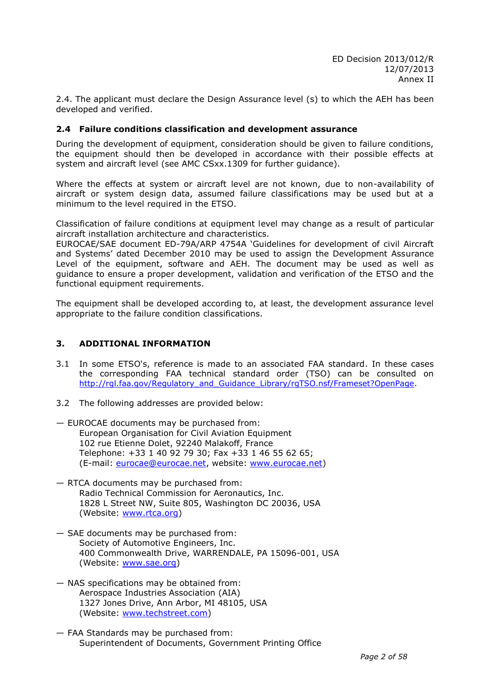2.4. The applicant must declare the Design Assurance level (s) to which the AEH has been developed and verified.

### **2.4 Failure conditions classification and development assurance**

During the development of equipment, consideration should be given to failure conditions, the equipment should then be developed in accordance with their possible effects at system and aircraft level (see AMC CSxx.1309 for further guidance).

Where the effects at system or aircraft level are not known, due to non-availability of aircraft or system design data, assumed failure classifications may be used but at a minimum to the level required in the ETSO.

Classification of failure conditions at equipment level may change as a result of particular aircraft installation architecture and characteristics.

EUROCAE/SAE document ED-79A/ARP 4754A 'Guidelines for development of civil Aircraft and Systems' dated December 2010 may be used to assign the Development Assurance Level of the equipment, software and AEH. The document may be used as well as guidance to ensure a proper development, validation and verification of the ETSO and the functional equipment requirements.

The equipment shall be developed according to, at least, the development assurance level appropriate to the failure condition classifications.

# **3. ADDITIONAL INFORMATION**

- 3.1 In some ETSO's, reference is made to an associated FAA standard. In these cases the corresponding FAA technical standard order (TSO) can be consulted on [http://rgl.faa.gov/Regulatory\\_and\\_Guidance\\_Library/rgTSO.nsf/Frameset?OpenPage.](http://rgl.faa.gov/Regulatory_and_Guidance_Library/rgTSO.nsf/Frameset?OpenPage)
- 3.2 The following addresses are provided below:
- EUROCAE documents may be purchased from: European Organisation for Civil Aviation Equipment 102 rue Etienne Dolet, 92240 Malakoff, France Telephone: +33 1 40 92 79 30; Fax +33 1 46 55 62 65; (E-mail: [eurocae@eurocae.net,](mailto:eurocae@eurocae.net) website: [www.eurocae.net\)](http://www.eurocae.net/)
- RTCA documents may be purchased from: Radio Technical Commission for Aeronautics, Inc. 1828 L Street NW, Suite 805, Washington DC 20036, USA (Website: [www.rtca.org\)](http://www.rtca.org/)
- SAE documents may be purchased from: Society of Automotive Engineers, Inc. 400 Commonwealth Drive, WARRENDALE, PA 15096-001, USA (Website: [www.sae.org\)](http://www.sae.org/)
- NAS specifications may be obtained from: Aerospace Industries Association (AIA) 1327 Jones Drive, Ann Arbor, MI 48105, USA (Website: [www.techstreet.com\)](http://www.techstreet.com/)
- FAA Standards may be purchased from: Superintendent of Documents, Government Printing Office